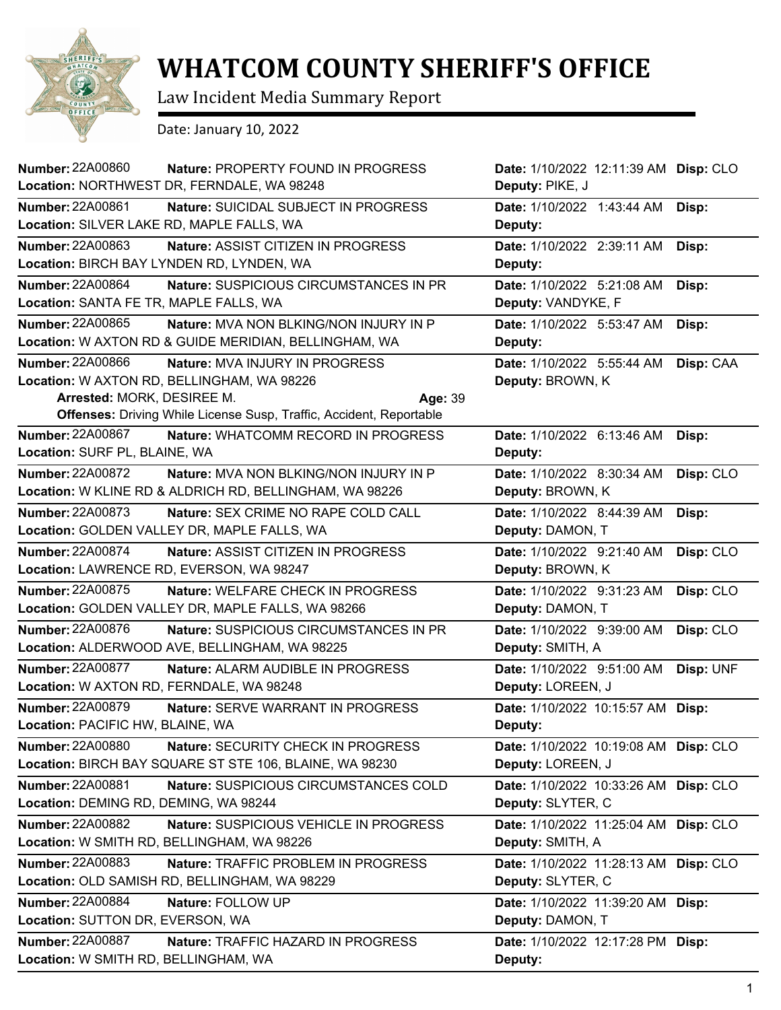

## **WHATCOM COUNTY SHERIFF'S OFFICE**

Law Incident Media Summary Report

Date: January 10, 2022

| <b>Number: 22A00860</b>                   | Nature: PROPERTY FOUND IN PROGRESS<br>Location: NORTHWEST DR, FERNDALE, WA 98248 | Date: 1/10/2022 12:11:39 AM Disp: CLO<br>Deputy: PIKE, J |           |
|-------------------------------------------|----------------------------------------------------------------------------------|----------------------------------------------------------|-----------|
| <b>Number: 22A00861</b>                   | Nature: SUICIDAL SUBJECT IN PROGRESS                                             | Date: 1/10/2022 1:43:44 AM                               | Disp:     |
| Location: SILVER LAKE RD, MAPLE FALLS, WA |                                                                                  | Deputy:                                                  |           |
| <b>Number: 22A00863</b>                   | Nature: ASSIST CITIZEN IN PROGRESS                                               | Date: 1/10/2022 2:39:11 AM                               | Disp:     |
|                                           | Location: BIRCH BAY LYNDEN RD, LYNDEN, WA                                        | Deputy:                                                  |           |
| <b>Number: 22A00864</b>                   | Nature: SUSPICIOUS CIRCUMSTANCES IN PR                                           | Date: 1/10/2022 5:21:08 AM                               | Disp:     |
| Location: SANTA FE TR, MAPLE FALLS, WA    |                                                                                  | Deputy: VANDYKE, F                                       |           |
| <b>Number: 22A00865</b>                   | <b>Nature: MVA NON BLKING/NON INJURY IN P</b>                                    | Date: 1/10/2022 5:53:47 AM                               | Disp:     |
|                                           | Location: W AXTON RD & GUIDE MERIDIAN, BELLINGHAM, WA                            | Deputy:                                                  |           |
| <b>Number: 22A00866</b>                   | Nature: MVA INJURY IN PROGRESS                                                   | Date: 1/10/2022 5:55:44 AM                               | Disp: CAA |
|                                           | Location: W AXTON RD, BELLINGHAM, WA 98226                                       | Deputy: BROWN, K                                         |           |
| Arrested: MORK, DESIREE M.                | Age: 39                                                                          |                                                          |           |
|                                           | Offenses: Driving While License Susp, Traffic, Accident, Reportable              |                                                          |           |
| <b>Number: 22A00867</b>                   | Nature: WHATCOMM RECORD IN PROGRESS                                              | Date: 1/10/2022 6:13:46 AM                               | Disp:     |
| Location: SURF PL, BLAINE, WA             |                                                                                  | Deputy:                                                  |           |
| <b>Number: 22A00872</b>                   | <b>Nature: MVA NON BLKING/NON INJURY IN P</b>                                    | Date: 1/10/2022 8:30:34 AM                               | Disp: CLO |
|                                           | Location: W KLINE RD & ALDRICH RD, BELLINGHAM, WA 98226                          | Deputy: BROWN, K                                         |           |
| <b>Number: 22A00873</b>                   | Nature: SEX CRIME NO RAPE COLD CALL                                              | Date: 1/10/2022 8:44:39 AM                               | Disp:     |
|                                           | Location: GOLDEN VALLEY DR, MAPLE FALLS, WA                                      | Deputy: DAMON, T                                         |           |
| <b>Number: 22A00874</b>                   | Nature: ASSIST CITIZEN IN PROGRESS                                               | Date: 1/10/2022 9:21:40 AM                               | Disp: CLO |
|                                           | Location: LAWRENCE RD, EVERSON, WA 98247                                         | Deputy: BROWN, K                                         |           |
| <b>Number: 22A00875</b>                   | Nature: WELFARE CHECK IN PROGRESS                                                | Date: 1/10/2022 9:31:23 AM                               | Disp: CLO |
|                                           | Location: GOLDEN VALLEY DR, MAPLE FALLS, WA 98266                                | Deputy: DAMON, T                                         |           |
| <b>Number: 22A00876</b>                   | Nature: SUSPICIOUS CIRCUMSTANCES IN PR                                           | Date: 1/10/2022 9:39:00 AM                               | Disp: CLO |
|                                           | Location: ALDERWOOD AVE, BELLINGHAM, WA 98225                                    | Deputy: SMITH, A                                         |           |
| <b>Number: 22A00877</b>                   | Nature: ALARM AUDIBLE IN PROGRESS                                                | Date: 1/10/2022 9:51:00 AM                               | Disp: UNF |
| Location: W AXTON RD, FERNDALE, WA 98248  |                                                                                  | Deputy: LOREEN, J                                        |           |
| <b>Number: 22A00879</b>                   | <b>Nature: SERVE WARRANT IN PROGRESS</b>                                         | Date: 1/10/2022 10:15:57 AM Disp:                        |           |
| <b>Location: PACIFIC HW, BLAINE, WA</b>   |                                                                                  | Deputy:                                                  |           |
| <b>Number: 22A00880</b>                   | Nature: SECURITY CHECK IN PROGRESS                                               | Date: 1/10/2022 10:19:08 AM Disp: CLO                    |           |
|                                           | Location: BIRCH BAY SQUARE ST STE 106, BLAINE, WA 98230                          | Deputy: LOREEN, J                                        |           |
| <b>Number: 22A00881</b>                   | Nature: SUSPICIOUS CIRCUMSTANCES COLD                                            | Date: 1/10/2022 10:33:26 AM Disp: CLO                    |           |
| Location: DEMING RD, DEMING, WA 98244     |                                                                                  | Deputy: SLYTER, C                                        |           |
| <b>Number: 22A00882</b>                   | Nature: SUSPICIOUS VEHICLE IN PROGRESS                                           | Date: 1/10/2022 11:25:04 AM Disp: CLO                    |           |
|                                           | Location: W SMITH RD, BELLINGHAM, WA 98226                                       | Deputy: SMITH, A                                         |           |
| Number: 22A00883                          | Nature: TRAFFIC PROBLEM IN PROGRESS                                              | Date: 1/10/2022 11:28:13 AM Disp: CLO                    |           |
|                                           | Location: OLD SAMISH RD, BELLINGHAM, WA 98229                                    | Deputy: SLYTER, C                                        |           |
| <b>Number: 22A00884</b>                   | Nature: FOLLOW UP                                                                | Date: 1/10/2022 11:39:20 AM Disp:                        |           |
| Location: SUTTON DR, EVERSON, WA          |                                                                                  | Deputy: DAMON, T                                         |           |
| <b>Number: 22A00887</b>                   | Nature: TRAFFIC HAZARD IN PROGRESS                                               | Date: 1/10/2022 12:17:28 PM Disp:                        |           |
| Location: W SMITH RD, BELLINGHAM, WA      |                                                                                  | Deputy:                                                  |           |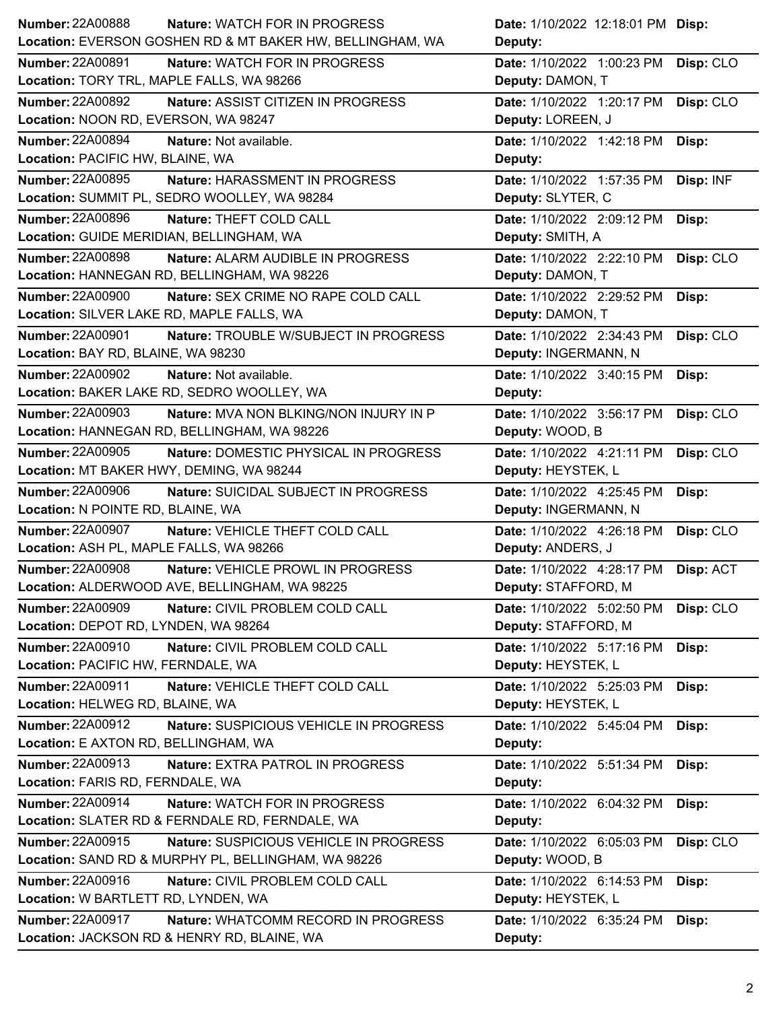| <b>Number: 22A00888</b><br><b>Nature: WATCH FOR IN PROGRESS</b>          | <b>Date:</b> 1/10/2022 12:18:01 PM <b>Disp:</b> |
|--------------------------------------------------------------------------|-------------------------------------------------|
| Location: EVERSON GOSHEN RD & MT BAKER HW, BELLINGHAM, WA                | Deputy:                                         |
| Number: 22A00891<br>Nature: WATCH FOR IN PROGRESS                        | Date: 1/10/2022 1:00:23 PM<br>Disp: CLO         |
| Location: TORY TRL, MAPLE FALLS, WA 98266                                | Deputy: DAMON, T                                |
| <b>Number: 22A00892</b><br>Nature: ASSIST CITIZEN IN PROGRESS            | Date: 1/10/2022 1:20:17 PM<br>Disp: CLO         |
| Location: NOON RD, EVERSON, WA 98247                                     | Deputy: LOREEN, J                               |
| <b>Number: 22A00894</b><br>Nature: Not available.                        | Date: 1/10/2022 1:42:18 PM<br>Disp:             |
| Location: PACIFIC HW, BLAINE, WA                                         | Deputy:                                         |
| <b>Number: 22A00895</b><br>Nature: HARASSMENT IN PROGRESS                | Date: 1/10/2022 1:57:35 PM Disp: INF            |
| Location: SUMMIT PL, SEDRO WOOLLEY, WA 98284                             | Deputy: SLYTER, C                               |
| <b>Number: 22A00896</b><br>Nature: THEFT COLD CALL                       | Date: 1/10/2022 2:09:12 PM<br>Disp:             |
| Location: GUIDE MERIDIAN, BELLINGHAM, WA                                 | Deputy: SMITH, A                                |
| <b>Number: 22A00898</b><br>Nature: ALARM AUDIBLE IN PROGRESS             | Date: 1/10/2022 2:22:10 PM<br>Disp: CLO         |
| Location: HANNEGAN RD, BELLINGHAM, WA 98226                              | Deputy: DAMON, T                                |
| <b>Number: 22A00900</b><br>Nature: SEX CRIME NO RAPE COLD CALL           | Date: 1/10/2022 2:29:52 PM<br>Disp:             |
| Location: SILVER LAKE RD, MAPLE FALLS, WA                                | Deputy: DAMON, T                                |
| <b>Number: 22A00901</b><br>Nature: TROUBLE W/SUBJECT IN PROGRESS         | Date: 1/10/2022 2:34:43 PM<br>Disp: CLO         |
| Location: BAY RD, BLAINE, WA 98230                                       | Deputy: INGERMANN, N                            |
| Number: 22A00902<br>Nature: Not available.                               | Date: 1/10/2022 3:40:15 PM<br>Disp:             |
| Location: BAKER LAKE RD, SEDRO WOOLLEY, WA                               | Deputy:                                         |
| <b>Number: 22A00903</b><br><b>Nature: MVA NON BLKING/NON INJURY IN P</b> | Date: 1/10/2022 3:56:17 PM<br>Disp: CLO         |
| Location: HANNEGAN RD, BELLINGHAM, WA 98226                              | Deputy: WOOD, B                                 |
| Number: 22A00905<br>Nature: DOMESTIC PHYSICAL IN PROGRESS                | Date: 1/10/2022 4:21:11 PM<br>Disp: CLO         |
| Location: MT BAKER HWY, DEMING, WA 98244                                 | Deputy: HEYSTEK, L                              |
| <b>Number: 22A00906</b>                                                  | Date: 1/10/2022 4:25:45 PM<br>Disp:             |
| Nature: SUICIDAL SUBJECT IN PROGRESS                                     |                                                 |
| Location: N POINTE RD, BLAINE, WA                                        | Deputy: INGERMANN, N                            |
| <b>Number: 22A00907</b><br>Nature: VEHICLE THEFT COLD CALL               | Date: 1/10/2022 4:26:18 PM<br>Disp: CLO         |
| Location: ASH PL, MAPLE FALLS, WA 98266                                  | Deputy: ANDERS, J                               |
| <b>Number: 22A00908</b><br>Nature: VEHICLE PROWL IN PROGRESS             | Date: 1/10/2022 4:28:17 PM Disp: ACT            |
| Location: ALDERWOOD AVE, BELLINGHAM, WA 98225                            | Deputy: STAFFORD, M                             |
| <b>Number: 22A00909</b><br>Nature: CIVIL PROBLEM COLD CALL               | Date: 1/10/2022 5:02:50 PM<br>Disp: CLO         |
| Location: DEPOT RD, LYNDEN, WA 98264                                     | Deputy: STAFFORD, M                             |
| Number: 22A00910<br>Nature: CIVIL PROBLEM COLD CALL                      | Date: 1/10/2022 5:17:16 PM<br>Disp:             |
| Location: PACIFIC HW, FERNDALE, WA                                       | Deputy: HEYSTEK, L                              |
| Number: 22A00911<br>Nature: VEHICLE THEFT COLD CALL                      | Date: 1/10/2022 5:25:03 PM<br>Disp:             |
| Location: HELWEG RD, BLAINE, WA                                          | Deputy: HEYSTEK, L                              |
| <b>Number: 22A00912</b><br>Nature: SUSPICIOUS VEHICLE IN PROGRESS        | Date: 1/10/2022 5:45:04 PM<br>Disp:             |
| Location: E AXTON RD, BELLINGHAM, WA                                     | Deputy:                                         |
| Number: 22A00913<br>Nature: EXTRA PATROL IN PROGRESS                     | Date: 1/10/2022 5:51:34 PM<br>Disp:             |
| Location: FARIS RD, FERNDALE, WA                                         | Deputy:                                         |
| Number: 22A00914<br>Nature: WATCH FOR IN PROGRESS                        | Date: 1/10/2022 6:04:32 PM<br>Disp:             |
| Location: SLATER RD & FERNDALE RD, FERNDALE, WA                          | Deputy:                                         |
| <b>Number: 22A00915</b><br>Nature: SUSPICIOUS VEHICLE IN PROGRESS        | Disp: CLO<br>Date: 1/10/2022 6:05:03 PM         |
| Location: SAND RD & MURPHY PL, BELLINGHAM, WA 98226                      | Deputy: WOOD, B                                 |
| Number: 22A00916<br>Nature: CIVIL PROBLEM COLD CALL                      | Date: 1/10/2022 6:14:53 PM<br>Disp:             |
| Location: W BARTLETT RD, LYNDEN, WA                                      | Deputy: HEYSTEK, L                              |
| <b>Number: 22A00917</b><br>Nature: WHATCOMM RECORD IN PROGRESS           | Date: 1/10/2022 6:35:24 PM<br>Disp:             |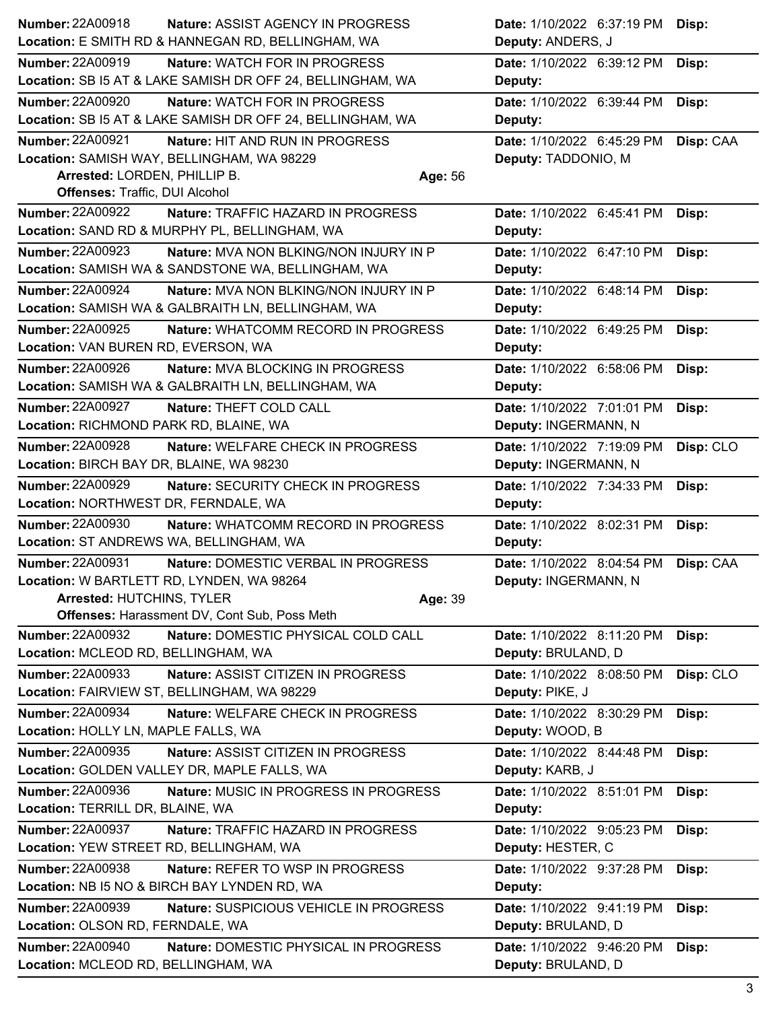| Number: 22A00918                                               | Nature: ASSIST AGENCY IN PROGRESS                                                      | Date: 1/10/2022 6:37:19 PM<br>Disp:                         |
|----------------------------------------------------------------|----------------------------------------------------------------------------------------|-------------------------------------------------------------|
|                                                                | Location: E SMITH RD & HANNEGAN RD, BELLINGHAM, WA                                     | Deputy: ANDERS, J                                           |
| <b>Number: 22A00919</b>                                        | <b>Nature: WATCH FOR IN PROGRESS</b>                                                   | Date: 1/10/2022 6:39:12 PM<br>Disp:                         |
|                                                                | Location: SB I5 AT & LAKE SAMISH DR OFF 24, BELLINGHAM, WA                             | Deputy:                                                     |
| <b>Number: 22A00920</b>                                        | Nature: WATCH FOR IN PROGRESS                                                          | Date: 1/10/2022 6:39:44 PM<br>Disp:                         |
|                                                                | Location: SB I5 AT & LAKE SAMISH DR OFF 24, BELLINGHAM, WA                             | Deputy:                                                     |
| <b>Number: 22A00921</b>                                        | Nature: HIT AND RUN IN PROGRESS                                                        | Date: 1/10/2022 6:45:29 PM<br>Disp: CAA                     |
|                                                                | Location: SAMISH WAY, BELLINGHAM, WA 98229                                             | Deputy: TADDONIO, M                                         |
| Arrested: LORDEN, PHILLIP B.                                   |                                                                                        | Age: 56                                                     |
| <b>Offenses: Traffic, DUI Alcohol</b>                          |                                                                                        |                                                             |
| <b>Number: 22A00922</b>                                        | Nature: TRAFFIC HAZARD IN PROGRESS                                                     | Date: 1/10/2022 6:45:41 PM<br>Disp:                         |
|                                                                | Location: SAND RD & MURPHY PL, BELLINGHAM, WA                                          | Deputy:                                                     |
| <b>Number: 22A00923</b>                                        | Nature: MVA NON BLKING/NON INJURY IN P                                                 | Date: 1/10/2022 6:47:10 PM<br>Disp:                         |
|                                                                | Location: SAMISH WA & SANDSTONE WA, BELLINGHAM, WA                                     | Deputy:                                                     |
| <b>Number: 22A00924</b>                                        | Nature: MVA NON BLKING/NON INJURY IN P                                                 | Date: 1/10/2022 6:48:14 PM<br>Disp:                         |
|                                                                | Location: SAMISH WA & GALBRAITH LN, BELLINGHAM, WA                                     | Deputy:                                                     |
| <b>Number: 22A00925</b>                                        | Nature: WHATCOMM RECORD IN PROGRESS                                                    | Date: 1/10/2022 6:49:25 PM<br>Disp:                         |
| Location: VAN BUREN RD, EVERSON, WA<br><b>Number: 22A00926</b> |                                                                                        | Deputy:                                                     |
|                                                                | Nature: MVA BLOCKING IN PROGRESS<br>Location: SAMISH WA & GALBRAITH LN, BELLINGHAM, WA | Date: 1/10/2022 6:58:06 PM<br>Disp:<br>Deputy:              |
| <b>Number: 22A00927</b>                                        | Nature: THEFT COLD CALL                                                                |                                                             |
| Location: RICHMOND PARK RD, BLAINE, WA                         |                                                                                        | Date: 1/10/2022 7:01:01 PM<br>Disp:<br>Deputy: INGERMANN, N |
| <b>Number: 22A00928</b>                                        | Nature: WELFARE CHECK IN PROGRESS                                                      | Date: 1/10/2022 7:19:09 PM<br>Disp: CLO                     |
| Location: BIRCH BAY DR, BLAINE, WA 98230                       |                                                                                        | Deputy: INGERMANN, N                                        |
| <b>Number: 22A00929</b>                                        | Nature: SECURITY CHECK IN PROGRESS                                                     | Date: 1/10/2022 7:34:33 PM<br>Disp:                         |
| Location: NORTHWEST DR, FERNDALE, WA                           |                                                                                        | Deputy:                                                     |
| <b>Number: 22A00930</b>                                        | Nature: WHATCOMM RECORD IN PROGRESS                                                    | Date: 1/10/2022 8:02:31 PM<br>Disp:                         |
| Location: ST ANDREWS WA, BELLINGHAM, WA                        |                                                                                        | Deputy:                                                     |
| <b>Number: 22A00931</b>                                        | Nature: DOMESTIC VERBAL IN PROGRESS                                                    | Date: 1/10/2022 8:04:54 PM<br>Disp: CAA                     |
| Location: W BARTLETT RD, LYNDEN, WA 98264                      |                                                                                        | Deputy: INGERMANN, N                                        |
| Arrested: HUTCHINS, TYLER                                      |                                                                                        | Age: 39                                                     |
|                                                                | Offenses: Harassment DV, Cont Sub, Poss Meth                                           |                                                             |
| Number: 22A00932                                               | Nature: DOMESTIC PHYSICAL COLD CALL                                                    | Date: 1/10/2022 8:11:20 PM<br>Disp:                         |
| Location: MCLEOD RD, BELLINGHAM, WA                            |                                                                                        | Deputy: BRULAND, D                                          |
| <b>Number: 22A00933</b>                                        | Nature: ASSIST CITIZEN IN PROGRESS                                                     | Disp: CLO<br>Date: 1/10/2022 8:08:50 PM                     |
|                                                                | Location: FAIRVIEW ST, BELLINGHAM, WA 98229                                            | Deputy: PIKE, J                                             |
| <b>Number: 22A00934</b>                                        | Nature: WELFARE CHECK IN PROGRESS                                                      | Date: 1/10/2022 8:30:29 PM<br>Disp:                         |
| Location: HOLLY LN, MAPLE FALLS, WA                            |                                                                                        | Deputy: WOOD, B                                             |
| <b>Number: 22A00935</b>                                        | Nature: ASSIST CITIZEN IN PROGRESS                                                     | Date: 1/10/2022 8:44:48 PM<br>Disp:                         |
|                                                                | Location: GOLDEN VALLEY DR, MAPLE FALLS, WA                                            | Deputy: KARB, J                                             |
| <b>Number: 22A00936</b>                                        | Nature: MUSIC IN PROGRESS IN PROGRESS                                                  | Date: 1/10/2022 8:51:01 PM<br>Disp:                         |
| Location: TERRILL DR, BLAINE, WA                               |                                                                                        | Deputy:                                                     |
| <b>Number: 22A00937</b>                                        | Nature: TRAFFIC HAZARD IN PROGRESS                                                     | Date: 1/10/2022 9:05:23 PM<br>Disp:                         |
| Location: YEW STREET RD, BELLINGHAM, WA                        |                                                                                        | Deputy: HESTER, C                                           |
| <b>Number: 22A00938</b>                                        | Nature: REFER TO WSP IN PROGRESS                                                       | Date: 1/10/2022 9:37:28 PM<br>Disp:                         |
|                                                                | Location: NB I5 NO & BIRCH BAY LYNDEN RD, WA                                           | Deputy:                                                     |
| <b>Number: 22A00939</b>                                        | Nature: SUSPICIOUS VEHICLE IN PROGRESS                                                 | Date: 1/10/2022 9:41:19 PM<br>Disp:                         |
| Location: OLSON RD, FERNDALE, WA                               |                                                                                        | Deputy: BRULAND, D                                          |
| Number: 22A00940<br>Location: MCLEOD RD, BELLINGHAM, WA        | Nature: DOMESTIC PHYSICAL IN PROGRESS                                                  | Date: 1/10/2022 9:46:20 PM<br>Disp:                         |
|                                                                |                                                                                        | Deputy: BRULAND, D                                          |